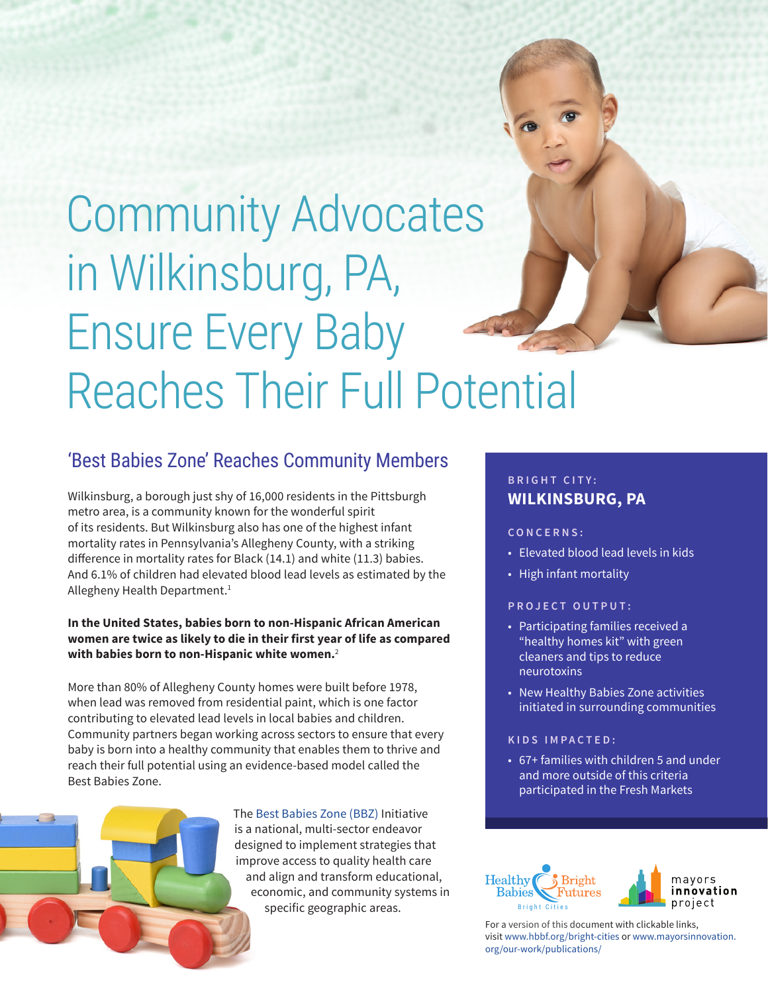

# <span id="page-0-0"></span>Community Advocates in Wilkinsburg, PA, Ensure Every Baby Reaches Their Full Potential

## 'Best Babies Zone' Reaches Community Members

Wilkinsburg, a borough just shy of 16,000 residents in the Pittsburgh metro area, is a community known for the wonderful spirit of its residents. But Wilkinsburg also has one of the highest infant mortality rates in Pennsylvania's Allegheny County, with a striking difference in mortality rates for Black (14.1) and white (11.3) babies. And 6.1% of children had elevated blood lead levels as estimated by the Allegheny Health Department.<sup>1</sup>

## **In the United States, babies born to non-Hispanic African American women are twice as likely to die in their first year of life as compared with babies born to non-Hispanic white women.**[2](#page-3-0)

More than 80% of Allegheny County homes were built before 1978, when lead was removed from residential paint, which is one factor contributing to elevated lead levels in local babies and children. Community partners began working across sectors to ensure that every baby is born into a healthy community that enables them to thrive and reach their full potential using an evidence-based model called the Best Babies Zone.



## **BRIGHT CITY: WILKINSBURG, PA**

### **CONCERNS:**

- Elevated blood lead levels in kids
- High infant mortality

### **PROJECT OUTPUT:**

- Participating families received a "healthy homes kit" with green cleaners and tips to reduce neurotoxins
- New Healthy Babies Zone activities initiated in surrounding communities

### **KIDS IMPACTED:**

• 67+ families with children 5 and under and more outside of this criteria participated in the Fresh Markets



For a version of this document with clickable links, visit [www.hbbf.org/bright-cities](http://www.hbbf.org/bright-cities) or [www.mayorsinnovation.](http://www.mayorsinnovation.org/our-work/publications/) [org/our-work/publications/](http://www.mayorsinnovation.org/our-work/publications/)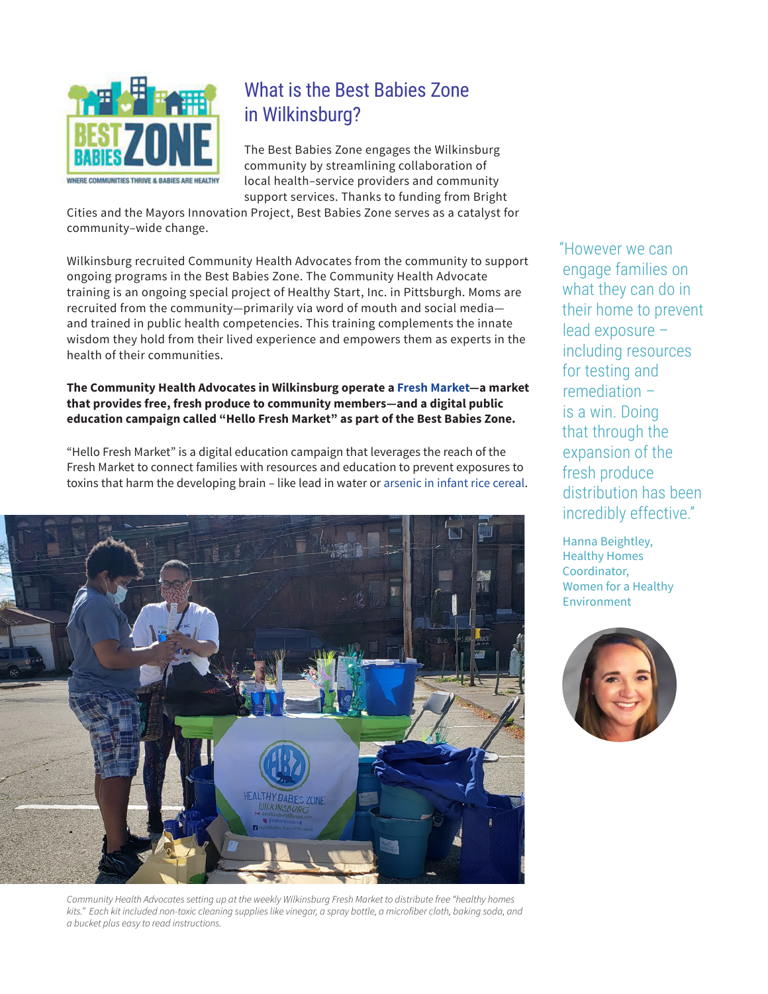

## What is the Best Babies Zone in Wilkinsburg?

The Best Babies Zone engages the Wilkinsburg community by streamlining collaboration of local health–service providers and community support services. Thanks to funding from Bright

Cities and the Mayors Innovation Project, Best Babies Zone serves as a catalyst for community–wide change.

Wilkinsburg recruited Community Health Advocates from the community to support ongoing programs in the Best Babies Zone. The Community Health Advocate training is an ongoing special project of Healthy Start, Inc. in Pittsburgh. Moms are recruited from the community—primarily via word of mouth and social media and trained in public health competencies. This training complements the innate wisdom they hold from their lived experience and empowers them as experts in the health of their communities.

### **The Community Health Advocates in Wilkinsburg operate a [Fresh Market](https://ms-my.facebook.com/FreeStoreWilkinsburg/videos/fresh-market-starting-now-see-you-soon/345740300371133/)—a market that provides free, fresh produce to community members—and a digital public education campaign called "Hello Fresh Market" as part of the Best Babies Zone.**

"Hello Fresh Market" is a digital education campaign that leverages the reach of the Fresh Market to connect families with resources and education to prevent exposures to toxins that harm the developing brain – like lead in water or [arsenic in infant rice cereal.](https://www.hbbf.org/arsenic-infant-rice-cereal)



*Community Health Advocates setting up at the weekly Wilkinsburg Fresh Market to distribute free "healthy homes*  kits." Each kit included non-toxic cleaning supplies like vinegar, a spray bottle, a microfiber cloth, baking soda, and *a bucket plus easy to read instructions.*

"However we can engage families on what they can do in their home to prevent lead exposure – including resources for testing and remediation – is a win. Doing that through the expansion of the fresh produce distribution has been incredibly effective."

Hanna Beightley, Healthy Homes Coordinator, Women for a Healthy Environment

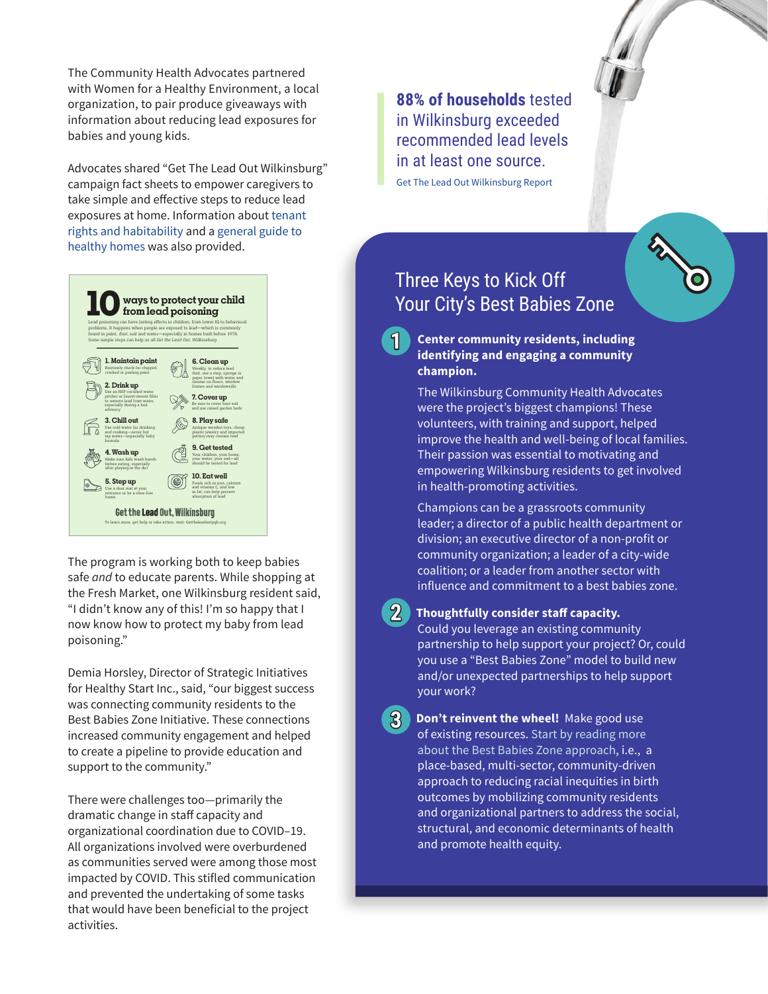The Community Health Advocates partnered with Women for a Healthy Environment, a local organization, to pair produce giveaways with information about reducing lead exposures for babies and young kids.

Advocates shared "Get The Lead Out Wilkinsburg" campaign fact sheets to empower caregivers to take simple and effective steps to reduce lead exposures at home. Information about [tenant](https://womenforahealthyenvironment.org/wp-content/uploads/2020/11/RentersGuideB-1-1.pdf)  [rights and habitability](https://womenforahealthyenvironment.org/wp-content/uploads/2020/11/RentersGuideB-1-1.pdf) and a [general guide to](https://womenforahealthyenvironment.org/wp-content/uploads/2020/11/Bringing-Home-Baby-Guide-to-a-Healthy-Home-1.pdf)  [healthy homes](https://womenforahealthyenvironment.org/wp-content/uploads/2020/11/Bringing-Home-Baby-Guide-to-a-Healthy-Home-1.pdf) was also provided.



The program is working both to keep babies safe *and* to educate parents. While shopping at the Fresh Market, one Wilkinsburg resident said, "I didn't know any of this! I'm so happy that I now know how to protect my baby from lead poisoning."

Demia Horsley, Director of Strategic Initiatives for Healthy Start Inc., said, "our biggest success was connecting community residents to the Best Babies Zone Initiative. These connections increased community engagement and helped to create a pipeline to provide education and support to the community."

There were challenges too—primarily the dramatic change in staff capacity and organizational coordination due to COVID–19. All organizations involved were overburdened as communities served were among those most impacted by COVID. This stifled communication and prevented the undertaking of some tasks that would have been beneficial to the project activities.

**88% of households** tested in Wilkinsburg exceeded recommended lead levels in at least one source. [Get The Lead Out Wilkinsburg Report](https://gettheleadoutpgh.org/lead/wp-content/uploads/2021/06/Wilkinsburg-Executive-Summary.pdf)

## Three Keys to Kick Off Your City's Best Babies Zone

**Center community residents, including identifying and engaging a community champion. 1**

> The Wilkinsburg Community Health Advocates were the project's biggest champions! These volunteers, with training and support, helped improve the health and well-being of local families. Their passion was essential to motivating and empowering Wilkinsburg residents to get involved in health-promoting activities.

Champions can be a grassroots community leader; a director of a public health department or division; an executive director of a non-profit or community organization; a leader of a city-wide coalition; or a leader from another sector with influence and commitment to a best babies zone.

## **Thoughtfully consider staff capacity.**

**2**

Could you leverage an existing community partnership to help support your project? Or, could you use a "Best Babies Zone" model to build new and/or unexpected partnerships to help support your work?

**Don't reinvent the wheel!** Make good use of existing resources. [Start by reading more](http://www.healthylucascounty.org/wp-content/uploads/sites/2/2018/12/BBZ-Basics-A-Step-by-Step-Guide.pdf)  [about the Best Babies Zone approach](http://www.healthylucascounty.org/wp-content/uploads/sites/2/2018/12/BBZ-Basics-A-Step-by-Step-Guide.pdf), i.e., a place-based, multi-sector, community-driven approach to reducing racial inequities in birth outcomes by mobilizing community residents and organizational partners to address the social, structural, and economic determinants of health and promote health equity. **3**